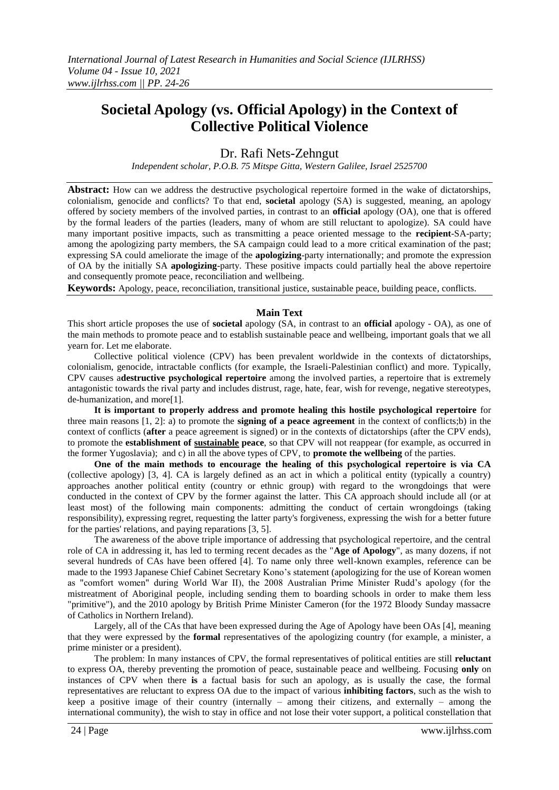# **Societal Apology (vs. Official Apology) in the Context of Collective Political Violence**

Dr. Rafi Nets-Zehngut

*Independent scholar, P.O.B. 75 Mitspe Gitta, Western Galilee, Israel 2525700*

**Abstract:** How can we address the destructive psychological repertoire formed in the wake of dictatorships, colonialism, genocide and conflicts? To that end, **societal** apology (SA) is suggested, meaning, an apology offered by society members of the involved parties, in contrast to an **official** apology (OA), one that is offered by the formal leaders of the parties (leaders, many of whom are still reluctant to apologize). SA could have many important positive impacts, such as transmitting a peace oriented message to the **recipient**-SA-party; among the apologizing party members, the SA campaign could lead to a more critical examination of the past; expressing SA could ameliorate the image of the **apologizing**-party internationally; and promote the expression of OA by the initially SA **apologizing**-party. These positive impacts could partially heal the above repertoire and consequently promote peace, reconciliation and wellbeing.

**Keywords:** Apology, peace, reconciliation, transitional justice, sustainable peace, building peace, conflicts.

#### **Main Text**

This short article proposes the use of **societal** apology (SA, in contrast to an **official** apology - OA), as one of the main methods to promote peace and to establish sustainable peace and wellbeing, important goals that we all yearn for. Let me elaborate.

Collective political violence (CPV) has been prevalent worldwide in the contexts of dictatorships, colonialism, genocide, intractable conflicts (for example, the Israeli-Palestinian conflict) and more. Typically, CPV causes a**destructive psychological repertoire** among the involved parties, a repertoire that is extremely antagonistic towards the rival party and includes distrust, rage, hate, fear, wish for revenge, negative stereotypes, de-humanization, and more[1].

**It is important to properly address and promote healing this hostile psychological repertoire** for three main reasons [1, 2]: a) to promote the **signing of a peace agreement** in the context of conflicts;b) in the context of conflicts (**after** a peace agreement is signed) or in the contexts of dictatorships (after the CPV ends), to promote the **establishment of sustainable peace**, so that CPV will not reappear (for example, as occurred in the former Yugoslavia); and c) in all the above types of CPV, to **promote the wellbeing** of the parties.

**One of the main methods to encourage the healing of this psychological repertoire is via CA** (collective apology) [3, 4]. CA is largely defined as an act in which a political entity (typically a country) approaches another political entity (country or ethnic group) with regard to the wrongdoings that were conducted in the context of CPV by the former against the latter. This CA approach should include all (or at least most) of the following main components: admitting the conduct of certain wrongdoings (taking responsibility), expressing regret, requesting the latter party's forgiveness, expressing the wish for a better future for the parties' relations, and paying reparations [3, 5].

The awareness of the above triple importance of addressing that psychological repertoire, and the central role of CA in addressing it, has led to terming recent decades as the "**Age of Apology**", as many dozens, if not several hundreds of CAs have been offered [4]. To name only three well-known examples, reference can be made to the 1993 Japanese Chief Cabinet Secretary Kono's statement (apologizing for the use of Korean women as "comfort women" during World War II), the 2008 Australian Prime Minister Rudd's apology (for the mistreatment of Aboriginal people, including sending them to boarding schools in order to make them less "primitive"), and the 2010 apology by British Prime Minister Cameron (for the 1972 Bloody Sunday massacre of Catholics in Northern Ireland).

Largely, all of the CAs that have been expressed during the Age of Apology have been OAs [4], meaning that they were expressed by the **formal** representatives of the apologizing country (for example, a minister, a prime minister or a president).

The problem: In many instances of CPV, the formal representatives of political entities are still **reluctant** to express OA, thereby preventing the promotion of peace, sustainable peace and wellbeing. Focusing **only** on instances of CPV when there **is** a factual basis for such an apology, as is usually the case, the formal representatives are reluctant to express OA due to the impact of various **inhibiting factors**, such as the wish to keep a positive image of their country (internally – among their citizens, and externally – among the international community), the wish to stay in office and not lose their voter support, a political constellation that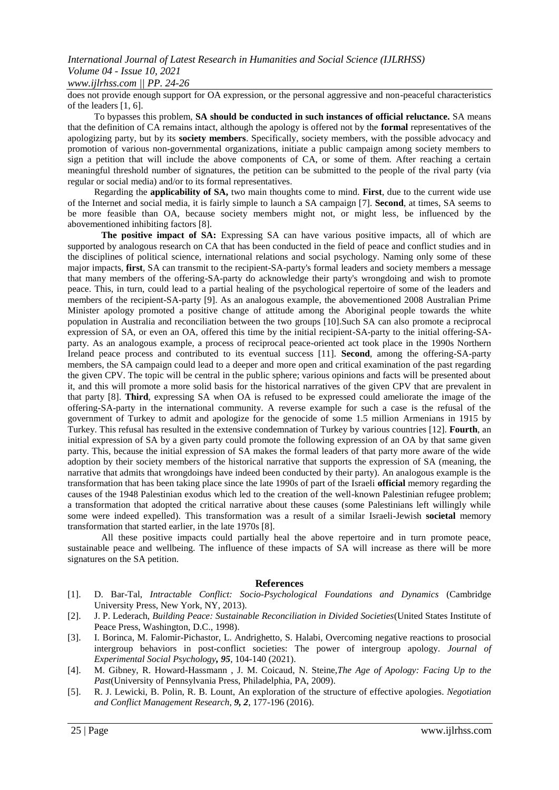# *International Journal of Latest Research in Humanities and Social Science (IJLRHSS) Volume 04 - Issue 10, 2021*

# *www.ijlrhss.com || PP. 24-26*

does not provide enough support for OA expression, or the personal aggressive and non-peaceful characteristics of the leaders [1, 6].

To bypasses this problem, **SA should be conducted in such instances of official reluctance.** SA means that the definition of CA remains intact, although the apology is offered not by the **formal** representatives of the apologizing party, but by its **society members**. Specifically, society members, with the possible advocacy and promotion of various non-governmental organizations, initiate a public campaign among society members to sign a petition that will include the above components of CA, or some of them. After reaching a certain meaningful threshold number of signatures, the petition can be submitted to the people of the rival party (via regular or social media) and/or to its formal representatives.

Regarding the **applicability of SA,** two main thoughts come to mind. **First**, due to the current wide use of the Internet and social media, it is fairly simple to launch a SA campaign [7]. **Second**, at times, SA seems to be more feasible than OA, because society members might not, or might less, be influenced by the abovementioned inhibiting factors [8].

**The positive impact of SA:** Expressing SA can have various positive impacts, all of which are supported by analogous research on CA that has been conducted in the field of peace and conflict studies and in the disciplines of political science, international relations and social psychology. Naming only some of these major impacts, **first**, SA can transmit to the recipient-SA-party's formal leaders and society members a message that many members of the offering-SA-party do acknowledge their party's wrongdoing and wish to promote peace. This, in turn, could lead to a partial healing of the psychological repertoire of some of the leaders and members of the recipient-SA-party [9]. As an analogous example, the abovementioned 2008 Australian Prime Minister apology promoted a positive change of attitude among the Aboriginal people towards the white population in Australia and reconciliation between the two groups [10].Such SA can also promote a reciprocal expression of SA, or even an OA, offered this time by the initial recipient-SA-party to the initial offering-SAparty. As an analogous example, a process of reciprocal peace-oriented act took place in the 1990s Northern Ireland peace process and contributed to its eventual success [11]. **Second**, among the offering-SA-party members, the SA campaign could lead to a deeper and more open and critical examination of the past regarding the given CPV. The topic will be central in the public sphere; various opinions and facts will be presented about it, and this will promote a more solid basis for the historical narratives of the given CPV that are prevalent in that party [8]. **Third**, expressing SA when OA is refused to be expressed could ameliorate the image of the offering-SA-party in the international community. A reverse example for such a case is the refusal of the government of Turkey to admit and apologize for the genocide of some 1.5 million Armenians in 1915 by Turkey. This refusal has resulted in the extensive condemnation of Turkey by various countries [12]. **Fourth**, an initial expression of SA by a given party could promote the following expression of an OA by that same given party. This, because the initial expression of SA makes the formal leaders of that party more aware of the wide adoption by their society members of the historical narrative that supports the expression of SA (meaning, the narrative that admits that wrongdoings have indeed been conducted by their party). An analogous example is the transformation that has been taking place since the late 1990s of part of the Israeli **official** memory regarding the causes of the 1948 Palestinian exodus which led to the creation of the well-known Palestinian refugee problem; a transformation that adopted the critical narrative about these causes (some Palestinians left willingly while some were indeed expelled). This transformation was a result of a similar Israeli-Jewish **societal** memory transformation that started earlier, in the late 1970s [8].

All these positive impacts could partially heal the above repertoire and in turn promote peace, sustainable peace and wellbeing. The influence of these impacts of SA will increase as there will be more signatures on the SA petition.

#### **References**

- [1]. D. Bar-Tal, *Intractable Conflict: Socio-Psychological Foundations and Dynamics* (Cambridge University Press, New York, NY, 2013).
- [2]. J. P. Lederach, *[Building Peace: Sustainable Reconciliation in Divided Societies](https://www.amazon.com/-/he/John-Paul-Lederach/dp/1878379739/ref=sr_1_5?dchild=1&keywords=LEDERACH&qid=1632466337&s=books&sr=1-5)*(United States Institute of Peace Press, Washington, D.C., 1998).
- [3]. I. [Borinca,](https://www.sciencedirect.com/science/article/abs/pii/S0022103121000408#!) M. [Falomir-Pichastor, L](https://www.sciencedirect.com/science/article/abs/pii/S0022103121000408#!). [Andrighetto, S. Halabi,](https://www.sciencedirect.com/science/article/abs/pii/S0022103121000408#!) Overcoming negative reactions to prosocial intergroup behaviors in post-conflict societies: The power of intergroup apology. *Journal of Experimental Social Psychology, 95*, 104-140 (2021).
- [4]. M. Gibney, R. Howard-Hassmann , J. M. Coicaud, N. Steine,*The Age of Apology: Facing Up to the Past*(University of Pennsylvania Press, Philadelphia, PA, 2009).
- [5]. R. J. Lewicki, B. Polin, R. B. Lount, An exploration of the structure of effective apologies. *Negotiation and Conflict Management Research*, *9, 2*, 177-196 (2016).